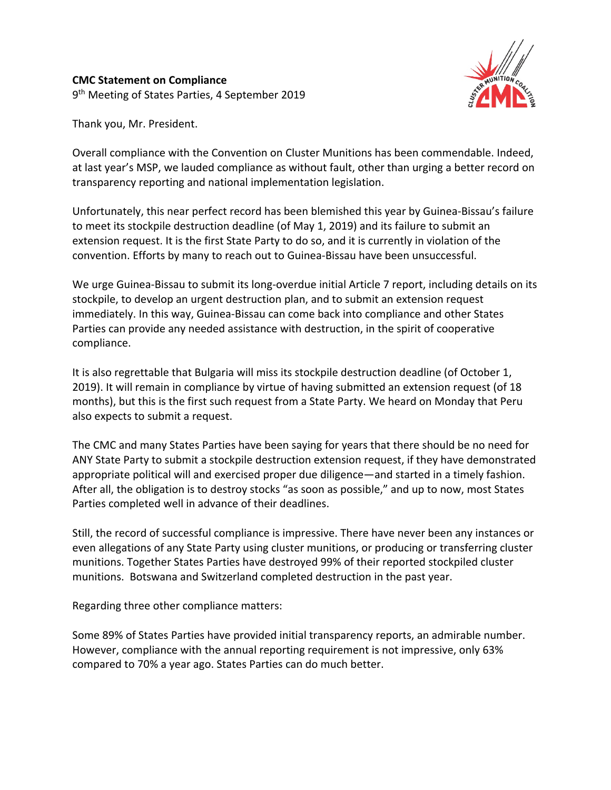

Thank you, Mr. President.

Overall compliance with the Convention on Cluster Munitions has been commendable. Indeed, at last year's MSP, we lauded compliance as without fault, other than urging a better record on transparency reporting and national implementation legislation.

Unfortunately, this near perfect record has been blemished this year by Guinea-Bissau's failure to meet its stockpile destruction deadline (of May 1, 2019) and its failure to submit an extension request. It is the first State Party to do so, and it is currently in violation of the convention. Efforts by many to reach out to Guinea-Bissau have been unsuccessful.

We urge Guinea-Bissau to submit its long-overdue initial Article 7 report, including details on its stockpile, to develop an urgent destruction plan, and to submit an extension request immediately. In this way, Guinea-Bissau can come back into compliance and other States Parties can provide any needed assistance with destruction, in the spirit of cooperative compliance.

It is also regrettable that Bulgaria will miss its stockpile destruction deadline (of October 1, 2019). It will remain in compliance by virtue of having submitted an extension request (of 18 months), but this is the first such request from a State Party. We heard on Monday that Peru also expects to submit a request.

The CMC and many States Parties have been saying for years that there should be no need for ANY State Party to submit a stockpile destruction extension request, if they have demonstrated appropriate political will and exercised proper due diligence—and started in a timely fashion. After all, the obligation is to destroy stocks "as soon as possible," and up to now, most States Parties completed well in advance of their deadlines.

Still, the record of successful compliance is impressive. There have never been any instances or even allegations of any State Party using cluster munitions, or producing or transferring cluster munitions. Together States Parties have destroyed 99% of their reported stockpiled cluster munitions. Botswana and Switzerland completed destruction in the past year.

Regarding three other compliance matters:

Some 89% of States Parties have provided initial transparency reports, an admirable number. However, compliance with the annual reporting requirement is not impressive, only 63% compared to 70% a year ago. States Parties can do much better.